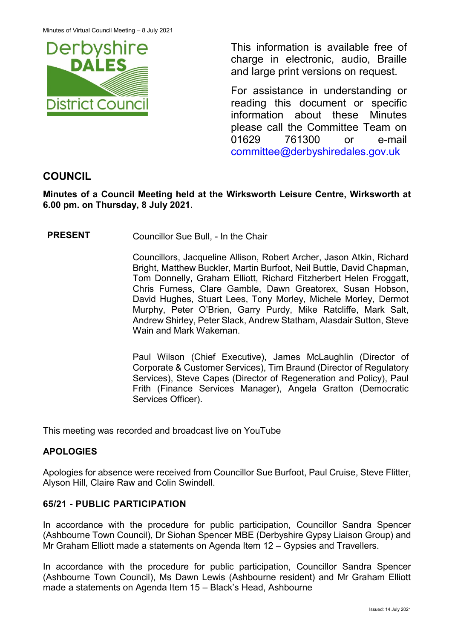

This information is available free of charge in electronic, audio, Braille and large print versions on request.

For assistance in understanding or reading this document or specific information about these Minutes please call the Committee Team on 01629 761300 or e-mail [committee@derbyshiredales.gov.uk](mailto:brian.evans@derbyshiredales.gov.uk) 

# **COUNCIL**

**Minutes of a Council Meeting held at the Wirksworth Leisure Centre, Wirksworth at 6.00 pm. on Thursday, 8 July 2021.**

**PRESENT** Councillor Sue Bull, - In the Chair

Councillors, Jacqueline Allison, Robert Archer, Jason Atkin, Richard Bright, Matthew Buckler, Martin Burfoot, Neil Buttle, David Chapman, Tom Donnelly, Graham Elliott, Richard Fitzherbert Helen Froggatt, Chris Furness, Clare Gamble, Dawn Greatorex, Susan Hobson, David Hughes, Stuart Lees, Tony Morley, Michele Morley, Dermot Murphy, Peter O'Brien, Garry Purdy, Mike Ratcliffe, Mark Salt, Andrew Shirley, Peter Slack, Andrew Statham, Alasdair Sutton, Steve Wain and Mark Wakeman.

Paul Wilson (Chief Executive), James McLaughlin (Director of Corporate & Customer Services), Tim Braund (Director of Regulatory Services), Steve Capes (Director of Regeneration and Policy), Paul Frith (Finance Services Manager), Angela Gratton (Democratic Services Officer).

This meeting was recorded and broadcast live on YouTube

## **APOLOGIES**

Apologies for absence were received from Councillor Sue Burfoot, Paul Cruise, Steve Flitter, Alyson Hill, Claire Raw and Colin Swindell.

## **65/21 - PUBLIC PARTICIPATION**

In accordance with the procedure for public participation, Councillor Sandra Spencer (Ashbourne Town Council), Dr Siohan Spencer MBE (Derbyshire Gypsy Liaison Group) and Mr Graham Elliott made a statements on Agenda Item 12 – Gypsies and Travellers.

In accordance with the procedure for public participation, Councillor Sandra Spencer (Ashbourne Town Council), Ms Dawn Lewis (Ashbourne resident) and Mr Graham Elliott made a statements on Agenda Item 15 – Black's Head, Ashbourne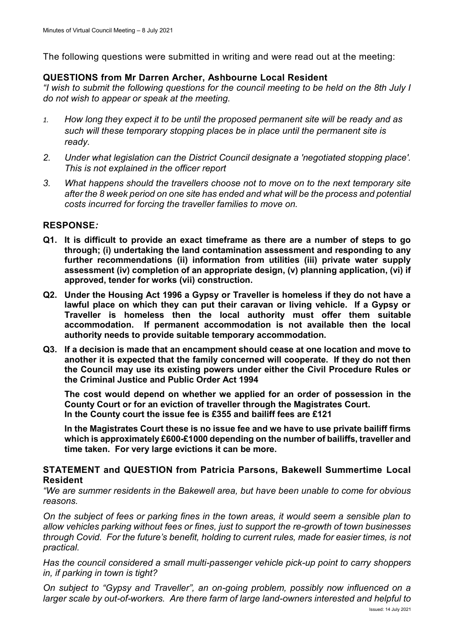The following questions were submitted in writing and were read out at the meeting:

#### **QUESTIONS from Mr Darren Archer, Ashbourne Local Resident**

*"I wish to submit the following questions for the council meeting to be held on the 8th July I do not wish to appear or speak at the meeting.*

- *1. How long they expect it to be until the proposed permanent site will be ready and as such will these temporary stopping places be in place until the permanent site is ready.*
- *2. Under what legislation can the District Council designate a 'negotiated stopping place'. This is not explained in the officer report*
- *3. What happens should the travellers choose not to move on to the next temporary site after the 8 week period on one site has ended and what will be the process and potential costs incurred for forcing the traveller families to move on.*

#### **RESPONSE***:*

- **Q1. It is difficult to provide an exact timeframe as there are a number of steps to go through; (i) undertaking the land contamination assessment and responding to any further recommendations (ii) information from utilities (iii) private water supply assessment (iv) completion of an appropriate design, (v) planning application, (vi) if approved, tender for works (vii) construction.**
- **Q2. Under the Housing Act 1996 a Gypsy or Traveller is homeless if they do not have a lawful place on which they can put their caravan or living vehicle. If a Gypsy or Traveller is homeless then the local authority must offer them suitable accommodation. If permanent accommodation is not available then the local authority needs to provide suitable temporary accommodation.**
- **Q3. If a decision is made that an encampment should cease at one location and move to another it is expected that the family concerned will cooperate. If they do not then the Council may use its existing powers under either the Civil Procedure Rules or the Criminal Justice and Public Order Act 1994**

**The cost would depend on whether we applied for an order of possession in the County Court or for an eviction of traveller through the Magistrates Court. In the County court the issue fee is £355 and bailiff fees are £121**

**In the Magistrates Court these is no issue fee and we have to use private bailiff firms which is approximately £600-£1000 depending on the number of bailiffs, traveller and time taken. For very large evictions it can be more.**

#### **STATEMENT and QUESTION from Patricia Parsons, Bakewell Summertime Local Resident**

*"We are summer residents in the Bakewell area, but have been unable to come for obvious reasons.*

*On the subject of fees or parking fines in the town areas, it would seem a sensible plan to allow vehicles parking without fees or fines, just to support the re-growth of town businesses through Covid. For the future's benefit, holding to current rules, made for easier times, is not practical.*

*Has the council considered a small multi-passenger vehicle pick-up point to carry shoppers in, if parking in town is tight?*

*On subject to "Gypsy and Traveller", an on-going problem, possibly now influenced on a larger scale by out-of-workers. Are there farm of large land-owners interested and helpful to*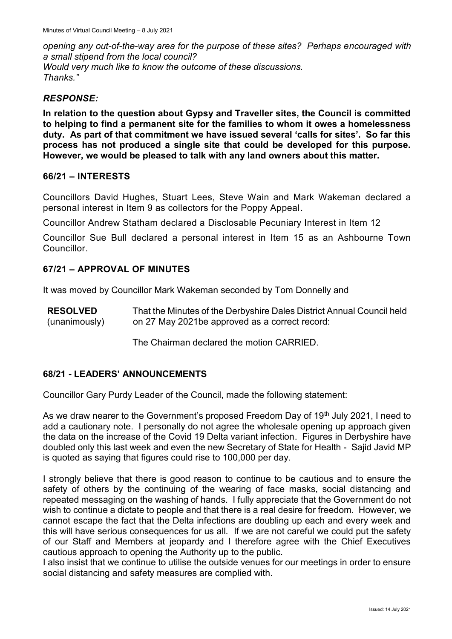*opening any out-of-the-way area for the purpose of these sites? Perhaps encouraged with a small stipend from the local council? Would very much like to know the outcome of these discussions. Thanks."*

#### *RESPONSE:*

**In relation to the question about Gypsy and Traveller sites, the Council is committed to helping to find a permanent site for the families to whom it owes a homelessness duty. As part of that commitment we have issued several 'calls for sites'. So far this process has not produced a single site that could be developed for this purpose. However, we would be pleased to talk with any land owners about this matter.**

#### **66/21 – INTERESTS**

Councillors David Hughes, Stuart Lees, Steve Wain and Mark Wakeman declared a personal interest in Item 9 as collectors for the Poppy Appeal.

Councillor Andrew Statham declared a Disclosable Pecuniary Interest in Item 12

Councillor Sue Bull declared a personal interest in Item 15 as an Ashbourne Town Councillor.

### **67/21 – APPROVAL OF MINUTES**

It was moved by Councillor Mark Wakeman seconded by Tom Donnelly and

**RESOLVED** (unanimously) That the Minutes of the Derbyshire Dales District Annual Council held on 27 May 2021be approved as a correct record:

The Chairman declared the motion CARRIED.

### **68/21 - LEADERS' ANNOUNCEMENTS**

Councillor Gary Purdy Leader of the Council, made the following statement:

As we draw nearer to the Government's proposed Freedom Day of 19<sup>th</sup> July 2021, I need to add a cautionary note. I personally do not agree the wholesale opening up approach given the data on the increase of the Covid 19 Delta variant infection. Figures in Derbyshire have doubled only this last week and even the new Secretary of State for Health - Sajid Javid MP is quoted as saying that figures could rise to 100,000 per day.

I strongly believe that there is good reason to continue to be cautious and to ensure the safety of others by the continuing of the wearing of face masks, social distancing and repeated messaging on the washing of hands. I fully appreciate that the Government do not wish to continue a dictate to people and that there is a real desire for freedom. However, we cannot escape the fact that the Delta infections are doubling up each and every week and this will have serious consequences for us all. If we are not careful we could put the safety of our Staff and Members at jeopardy and I therefore agree with the Chief Executives cautious approach to opening the Authority up to the public.

I also insist that we continue to utilise the outside venues for our meetings in order to ensure social distancing and safety measures are complied with.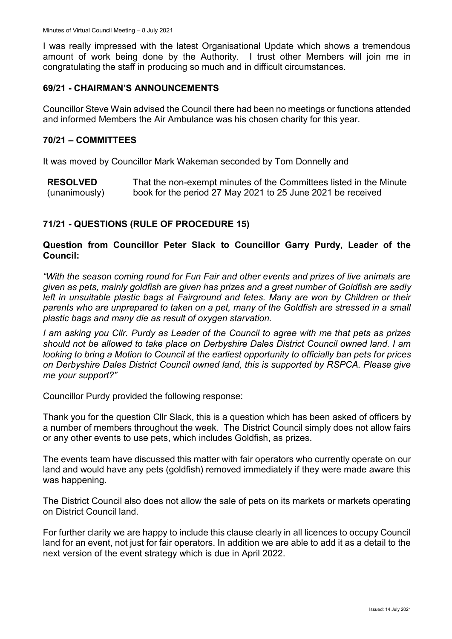I was really impressed with the latest Organisational Update which shows a tremendous amount of work being done by the Authority. I trust other Members will join me in congratulating the staff in producing so much and in difficult circumstances.

#### **69/21 - CHAIRMAN'S ANNOUNCEMENTS**

Councillor Steve Wain advised the Council there had been no meetings or functions attended and informed Members the Air Ambulance was his chosen charity for this year.

#### **70/21 – COMMITTEES**

It was moved by Councillor Mark Wakeman seconded by Tom Donnelly and

**RESOLVED** (unanimously) That the non-exempt minutes of the Committees listed in the Minute book for the period 27 May 2021 to 25 June 2021 be received

## **71/21 - QUESTIONS (RULE OF PROCEDURE 15)**

#### **Question from Councillor Peter Slack to Councillor Garry Purdy, Leader of the Council:**

*"With the season coming round for Fun Fair and other events and prizes of live animals are given as pets, mainly goldfish are given has prizes and a great number of Goldfish are sadly left in unsuitable plastic bags at Fairground and fetes. Many are won by Children or their parents who are unprepared to taken on a pet, many of the Goldfish are stressed in a small plastic bags and many die as result of oxygen starvation.* 

*I am asking you Cllr. Purdy as Leader of the Council to agree with me that pets as prizes should not be allowed to take place on Derbyshire Dales District Council owned land. I am looking to bring a Motion to Council at the earliest opportunity to officially ban pets for prices on Derbyshire Dales District Council owned land, this is supported by RSPCA. Please give me your support?"*

Councillor Purdy provided the following response:

Thank you for the question Cllr Slack, this is a question which has been asked of officers by a number of members throughout the week. The District Council simply does not allow fairs or any other events to use pets, which includes Goldfish, as prizes.

The events team have discussed this matter with fair operators who currently operate on our land and would have any pets (goldfish) removed immediately if they were made aware this was happening.

The District Council also does not allow the sale of pets on its markets or markets operating on District Council land.

For further clarity we are happy to include this clause clearly in all licences to occupy Council land for an event, not just for fair operators. In addition we are able to add it as a detail to the next version of the event strategy which is due in April 2022.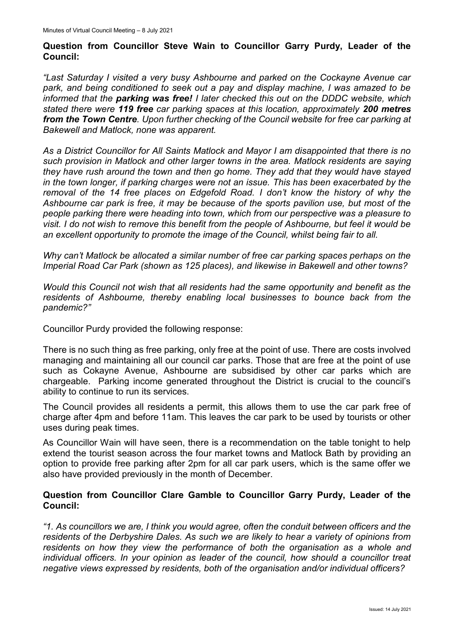#### **Question from Councillor Steve Wain to Councillor Garry Purdy, Leader of the Council:**

*"Last Saturday I visited a very busy Ashbourne and parked on the Cockayne Avenue car park, and being conditioned to seek out a pay and display machine, I was amazed to be informed that the parking was free! I later checked this out on the DDDC website, which stated there were 119 free car parking spaces at this location, approximately 200 metres from the Town Centre. Upon further checking of the Council website for free car parking at Bakewell and Matlock, none was apparent.* 

*As a District Councillor for All Saints Matlock and Mayor I am disappointed that there is no such provision in Matlock and other larger towns in the area. Matlock residents are saying they have rush around the town and then go home. They add that they would have stayed in the town longer, if parking charges were not an issue. This has been exacerbated by the removal of the 14 free places on Edgefold Road. I don't know the history of why the Ashbourne car park is free, it may be because of the sports pavilion use, but most of the people parking there were heading into town, which from our perspective was a pleasure to visit. I do not wish to remove this benefit from the people of Ashbourne, but feel it would be an excellent opportunity to promote the image of the Council, whilst being fair to all.*

*Why can't Matlock be allocated a similar number of free car parking spaces perhaps on the Imperial Road Car Park (shown as 125 places), and likewise in Bakewell and other towns?*

*Would this Council not wish that all residents had the same opportunity and benefit as the residents of Ashbourne, thereby enabling local businesses to bounce back from the pandemic?"*

Councillor Purdy provided the following response:

There is no such thing as free parking, only free at the point of use. There are costs involved managing and maintaining all our council car parks. Those that are free at the point of use such as Cokayne Avenue, Ashbourne are subsidised by other car parks which are chargeable. Parking income generated throughout the District is crucial to the council's ability to continue to run its services.

The Council provides all residents a permit, this allows them to use the car park free of charge after 4pm and before 11am. This leaves the car park to be used by tourists or other uses during peak times.

As Councillor Wain will have seen, there is a recommendation on the table tonight to help extend the tourist season across the four market towns and Matlock Bath by providing an option to provide free parking after 2pm for all car park users, which is the same offer we also have provided previously in the month of December.

### **Question from Councillor Clare Gamble to Councillor Garry Purdy, Leader of the Council:**

*"1. As councillors we are, I think you would agree, often the conduit between officers and the residents of the Derbyshire Dales. As such we are likely to hear a variety of opinions from residents on how they view the performance of both the organisation as a whole and individual officers. In your opinion as leader of the council, how should a councillor treat negative views expressed by residents, both of the organisation and/or individual officers?*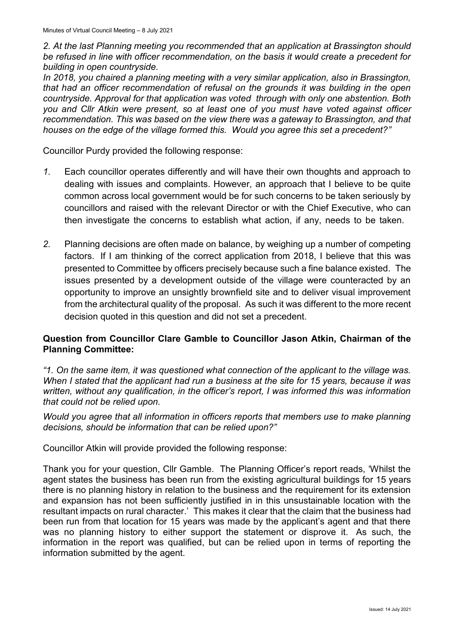*2. At the last Planning meeting you recommended that an application at Brassington should be refused in line with officer recommendation, on the basis it would create a precedent for building in open countryside.* 

*In 2018, you chaired a planning meeting with a very similar application, also in Brassington, that had an officer recommendation of refusal on the grounds it was building in the open countryside. Approval for that application was voted through with only one abstention. Both you and Cllr Atkin were present, so at least one of you must have voted against officer recommendation. This was based on the view there was a gateway to Brassington, and that houses on the edge of the village formed this. Would you agree this set a precedent?"*

Councillor Purdy provided the following response:

- *1.* Each councillor operates differently and will have their own thoughts and approach to dealing with issues and complaints. However, an approach that I believe to be quite common across local government would be for such concerns to be taken seriously by councillors and raised with the relevant Director or with the Chief Executive, who can then investigate the concerns to establish what action, if any, needs to be taken.
- *2.* Planning decisions are often made on balance, by weighing up a number of competing factors. If I am thinking of the correct application from 2018, I believe that this was presented to Committee by officers precisely because such a fine balance existed. The issues presented by a development outside of the village were counteracted by an opportunity to improve an unsightly brownfield site and to deliver visual improvement from the architectural quality of the proposal. As such it was different to the more recent decision quoted in this question and did not set a precedent.

### **Question from Councillor Clare Gamble to Councillor Jason Atkin, Chairman of the Planning Committee:**

*"1. On the same item, it was questioned what connection of the applicant to the village was. When I stated that the applicant had run a business at the site for 15 years, because it was written, without any qualification, in the officer's report, I was informed this was information that could not be relied upon.* 

*Would you agree that all information in officers reports that members use to make planning decisions, should be information that can be relied upon?"*

Councillor Atkin will provide provided the following response:

Thank you for your question, Cllr Gamble. The Planning Officer's report reads, 'Whilst the agent states the business has been run from the existing agricultural buildings for 15 years there is no planning history in relation to the business and the requirement for its extension and expansion has not been sufficiently justified in in this unsustainable location with the resultant impacts on rural character.' This makes it clear that the claim that the business had been run from that location for 15 years was made by the applicant's agent and that there was no planning history to either support the statement or disprove it. As such, the information in the report was qualified, but can be relied upon in terms of reporting the information submitted by the agent.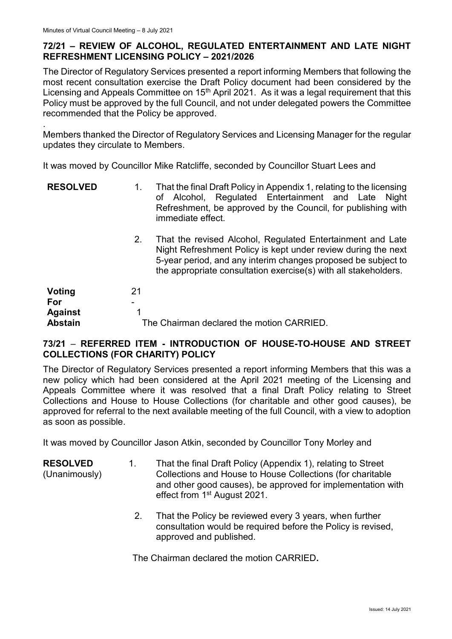.

## **72/21 – REVIEW OF ALCOHOL, REGULATED ENTERTAINMENT AND LATE NIGHT REFRESHMENT LICENSING POLICY – 2021/2026**

The Director of Regulatory Services presented a report informing Members that following the most recent consultation exercise the Draft Policy document had been considered by the Licensing and Appeals Committee on  $15<sup>th</sup>$  April 2021. As it was a legal requirement that this Policy must be approved by the full Council, and not under delegated powers the Committee recommended that the Policy be approved.

Members thanked the Director of Regulatory Services and Licensing Manager for the regular updates they circulate to Members.

It was moved by Councillor Mike Ratcliffe, seconded by Councillor Stuart Lees and

| <b>RESOLVED</b> | That the final Draft Policy in Appendix 1, relating to the licensing              |
|-----------------|-----------------------------------------------------------------------------------|
|                 | of Alcohol, Regulated Entertainment and Late Night                                |
|                 | Refreshment, be approved by the Council, for publishing with<br>immediate effect. |
|                 | That the revised Alcohol Pequisted Entertainment and Late                         |

2. That the revised Alcohol, Regulated Entertainment and Late Night Refreshment Policy is kept under review during the next 5-year period, and any interim changes proposed be subject to the appropriate consultation exercise(s) with all stakeholders.

| Voting                           | 21                                        |
|----------------------------------|-------------------------------------------|
| For                              | -                                         |
| <b>Against</b><br><b>Abstain</b> | The Chairman declared the motion CARRIED. |

## **73/21** – **REFERRED ITEM - INTRODUCTION OF HOUSE-TO-HOUSE AND STREET COLLECTIONS (FOR CHARITY) POLICY**

The Director of Regulatory Services presented a report informing Members that this was a new policy which had been considered at the April 2021 meeting of the Licensing and Appeals Committee where it was resolved that a final Draft Policy relating to Street Collections and House to House Collections (for charitable and other good causes), be approved for referral to the next available meeting of the full Council, with a view to adoption as soon as possible.

It was moved by Councillor Jason Atkin, seconded by Councillor Tony Morley and

- **RESOLVED** (Unanimously) 1. That the final Draft Policy (Appendix 1), relating to Street Collections and House to House Collections (for charitable and other good causes), be approved for implementation with effect from 1st August 2021.
	- 2. That the Policy be reviewed every 3 years, when further consultation would be required before the Policy is revised, approved and published.

The Chairman declared the motion CARRIED**.**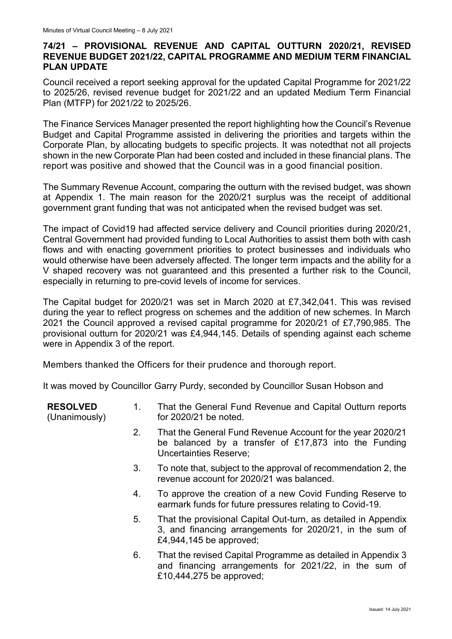## **74/21 – PROVISIONAL REVENUE AND CAPITAL OUTTURN 2020/21, REVISED REVENUE BUDGET 2021/22, CAPITAL PROGRAMME AND MEDIUM TERM FINANCIAL PLAN UPDATE**

Council received a report seeking approval for the updated Capital Programme for 2021/22 to 2025/26, revised revenue budget for 2021/22 and an updated Medium Term Financial Plan (MTFP) for 2021/22 to 2025/26.

The Finance Services Manager presented the report highlighting how the Council's Revenue Budget and Capital Programme assisted in delivering the priorities and targets within the Corporate Plan, by allocating budgets to specific projects. It was notedthat not all projects shown in the new Corporate Plan had been costed and included in these financial plans. The report was positive and showed that the Council was in a good financial position.

The Summary Revenue Account, comparing the outturn with the revised budget, was shown at Appendix 1. The main reason for the 2020/21 surplus was the receipt of additional government grant funding that was not anticipated when the revised budget was set.

The impact of Covid19 had affected service delivery and Council priorities during 2020/21, Central Government had provided funding to Local Authorities to assist them both with cash flows and with enacting government priorities to protect businesses and individuals who would otherwise have been adversely affected. The longer term impacts and the ability for a V shaped recovery was not guaranteed and this presented a further risk to the Council, especially in returning to pre-covid levels of income for services.

The Capital budget for 2020/21 was set in March 2020 at £7,342,041. This was revised during the year to reflect progress on schemes and the addition of new schemes. In March 2021 the Council approved a revised capital programme for 2020/21 of £7,790,985. The provisional outturn for 2020/21 was £4,944,145. Details of spending against each scheme were in Appendix 3 of the report.

Members thanked the Officers for their prudence and thorough report.

It was moved by Councillor Garry Purdy, seconded by Councillor Susan Hobson and

| <b>RESOLVED</b><br>(Unanimously) | 1. | That the General Fund Revenue and Capital Outturn reports<br>for 2020/21 be noted.                                                                     |
|----------------------------------|----|--------------------------------------------------------------------------------------------------------------------------------------------------------|
|                                  | 2. | That the General Fund Revenue Account for the year 2020/21<br>be balanced by a transfer of $£17,873$ into the Funding<br><b>Uncertainties Reserve;</b> |
|                                  | 3. | To note that, subject to the approval of recommendation 2, the<br>revenue account for 2020/21 was balanced.                                            |
|                                  | 4. | To approve the creation of a new Covid Funding Reserve to<br>earmark funds for future pressures relating to Covid-19.                                  |
|                                  | 5. | That the provisional Capital Out-turn, as detailed in Appendix<br>3, and financing arrangements for 2020/21, in the sum of<br>£4,944,145 be approved;  |
|                                  | 6. | That the revised Capital Programme as detailed in Appendix 3<br>and financing arrangements for 2021/22, in the sum of<br>£10,444,275 be approved;      |
|                                  |    |                                                                                                                                                        |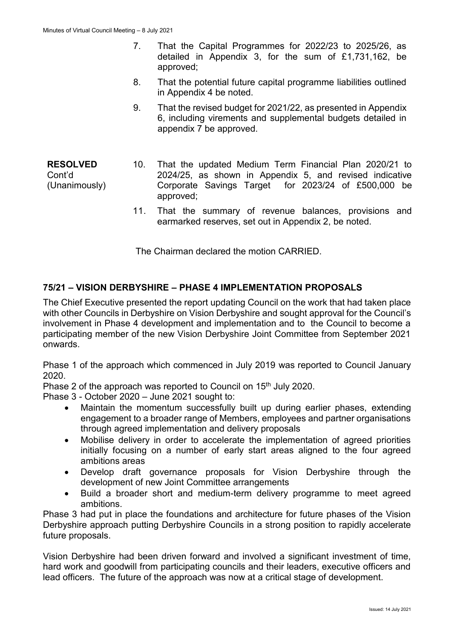- 7. That the Capital Programmes for 2022/23 to 2025/26, as detailed in Appendix 3, for the sum of £1,731,162, be approved;
- 8. That the potential future capital programme liabilities outlined in Appendix 4 be noted.
- 9. That the revised budget for 2021/22, as presented in Appendix 6, including virements and supplemental budgets detailed in appendix 7 be approved.
- **RESOLVED** Cont'd (Unanimously) 10. That the updated Medium Term Financial Plan 2020/21 to 2024/25, as shown in Appendix 5, and revised indicative Corporate Savings Target for 2023/24 of £500,000 be approved;
	- 11. That the summary of revenue balances, provisions and earmarked reserves, set out in Appendix 2, be noted.

The Chairman declared the motion CARRIED.

## **75/21 – VISION DERBYSHIRE – PHASE 4 IMPLEMENTATION PROPOSALS**

The Chief Executive presented the report updating Council on the work that had taken place with other Councils in Derbyshire on Vision Derbyshire and sought approval for the Council's involvement in Phase 4 development and implementation and to the Council to become a participating member of the new Vision Derbyshire Joint Committee from September 2021 onwards.

Phase 1 of the approach which commenced in July 2019 was reported to Council January 2020.

Phase 2 of the approach was reported to Council on 15<sup>th</sup> July 2020.

Phase 3 - October 2020 – June 2021 sought to:

- Maintain the momentum successfully built up during earlier phases, extending engagement to a broader range of Members, employees and partner organisations through agreed implementation and delivery proposals
- Mobilise delivery in order to accelerate the implementation of agreed priorities initially focusing on a number of early start areas aligned to the four agreed ambitions areas
- Develop draft governance proposals for Vision Derbyshire through the development of new Joint Committee arrangements
- Build a broader short and medium-term delivery programme to meet agreed ambitions.

Phase 3 had put in place the foundations and architecture for future phases of the Vision Derbyshire approach putting Derbyshire Councils in a strong position to rapidly accelerate future proposals.

Vision Derbyshire had been driven forward and involved a significant investment of time, hard work and goodwill from participating councils and their leaders, executive officers and lead officers. The future of the approach was now at a critical stage of development.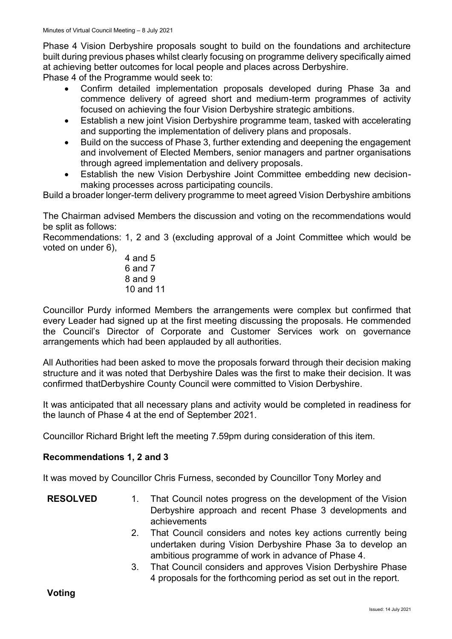Phase 4 Vision Derbyshire proposals sought to build on the foundations and architecture built during previous phases whilst clearly focusing on programme delivery specifically aimed at achieving better outcomes for local people and places across Derbyshire.

Phase 4 of the Programme would seek to:

- Confirm detailed implementation proposals developed during Phase 3a and commence delivery of agreed short and medium-term programmes of activity focused on achieving the four Vision Derbyshire strategic ambitions.
- Establish a new joint Vision Derbyshire programme team, tasked with accelerating and supporting the implementation of delivery plans and proposals.
- Build on the success of Phase 3, further extending and deepening the engagement and involvement of Elected Members, senior managers and partner organisations through agreed implementation and delivery proposals.
- Establish the new Vision Derbyshire Joint Committee embedding new decisionmaking processes across participating councils.

Build a broader longer-term delivery programme to meet agreed Vision Derbyshire ambitions

The Chairman advised Members the discussion and voting on the recommendations would be split as follows:

Recommendations: 1, 2 and 3 (excluding approval of a Joint Committee which would be voted on under 6),

> 4 and 5 6 and 7 8 and 9 10 and 11

Councillor Purdy informed Members the arrangements were complex but confirmed that every Leader had signed up at the first meeting discussing the proposals. He commended the Council's Director of Corporate and Customer Services work on governance arrangements which had been applauded by all authorities.

All Authorities had been asked to move the proposals forward through their decision making structure and it was noted that Derbyshire Dales was the first to make their decision. It was confirmed thatDerbyshire County Council were committed to Vision Derbyshire.

It was anticipated that all necessary plans and activity would be completed in readiness for the launch of Phase 4 at the end of September 2021.

Councillor Richard Bright left the meeting 7.59pm during consideration of this item.

### **Recommendations 1, 2 and 3**

It was moved by Councillor Chris Furness, seconded by Councillor Tony Morley and

- **RESOLVED** 1. That Council notes progress on the development of the Vision Derbyshire approach and recent Phase 3 developments and achievements
	- 2. That Council considers and notes key actions currently being undertaken during Vision Derbyshire Phase 3a to develop an ambitious programme of work in advance of Phase 4.
	- 3. That Council considers and approves Vision Derbyshire Phase 4 proposals for the forthcoming period as set out in the report.

**Voting**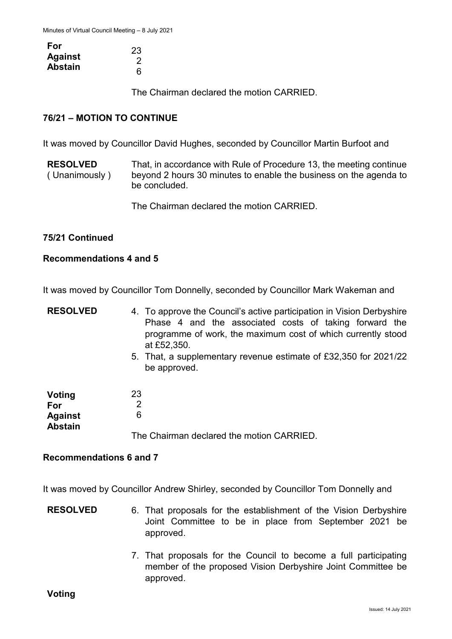| For            | 23 |
|----------------|----|
|                |    |
| <b>Against</b> |    |
|                |    |
| <b>Abstain</b> | 6  |

The Chairman declared the motion CARRIED.

## **76/21 – MOTION TO CONTINUE**

It was moved by Councillor David Hughes, seconded by Councillor Martin Burfoot and

**RESOLVED** ( Unanimously ) That, in accordance with Rule of Procedure 13, the meeting continue beyond 2 hours 30 minutes to enable the business on the agenda to be concluded.

The Chairman declared the motion CARRIED.

#### **75/21 Continued**

#### **Recommendations 4 and 5**

It was moved by Councillor Tom Donnelly, seconded by Councillor Mark Wakeman and

- **RESOLVED** 4. To approve the Council's active participation in Vision Derbyshire Phase 4 and the associated costs of taking forward the programme of work, the maximum cost of which currently stood at £52,350.
	- 5. That, a supplementary revenue estimate of £32,350 for 2021/22 be approved.

| Voting<br>For  | 23                                        |
|----------------|-------------------------------------------|
| <b>Against</b> | 6                                         |
| <b>Abstain</b> | The Chairman declared the motion CARRIED. |

#### **Recommendations 6 and 7**

It was moved by Councillor Andrew Shirley, seconded by Councillor Tom Donnelly and

- **RESOLVED** 6. That proposals for the establishment of the Vision Derbyshire Joint Committee to be in place from September 2021 be approved.
	- 7. That proposals for the Council to become a full participating member of the proposed Vision Derbyshire Joint Committee be approved.